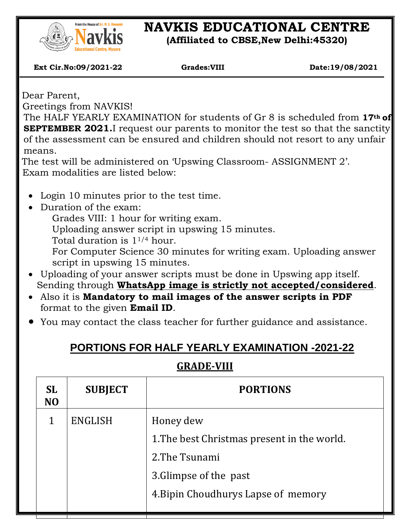

## **NAVKIS EDUCATIONAL CENTRE**

**(Affiliated to CBSE,New Delhi:45320)**

 **Ext Cir.No:09/2021-22 Grades:VIII Date:19/08/2021**

Dear Parent,

 $\overline{\phantom{a}}$ 

Greetings from NAVKIS!

The HALF YEARLY EXAMINATION for students of Gr 8 is scheduled from **17th of SEPTEMBER 2021.**I request our parents to monitor the test so that the sanctity of the assessment can be ensured and children should not resort to any unfair means.

The test will be administered on 'Upswing Classroom- ASSIGNMENT 2'. Exam modalities are listed below:

- Login 10 minutes prior to the test time.
- Duration of the exam:

Grades VIII: 1 hour for writing exam.

Uploading answer script in upswing 15 minutes.

Total duration is 11/4 hour.

For Computer Science 30 minutes for writing exam. Uploading answer script in upswing 15 minutes.

- Uploading of your answer scripts must be done in Upswing app itself. Sending through **WhatsApp image is strictly not accepted/considered**.
- Also it is **Mandatory to mail images of the answer scripts in PDF** format to the given **Email ID**.
- You may contact the class teacher for further guidance and assistance.

## **PORTIONS FOR HALF YEARLY EXAMINATION -2021-22**

## **GRADE-VIII**

| <b>SL</b><br>N <sub>O</sub> | <b>SUBJECT</b> | <b>PORTIONS</b>                             |  |
|-----------------------------|----------------|---------------------------------------------|--|
| 1                           | <b>ENGLISH</b> | Honey dew                                   |  |
|                             |                | 1. The best Christmas present in the world. |  |
|                             |                | 2. The Tsunami                              |  |
|                             |                | 3. Glimpse of the past                      |  |
|                             |                | 4. Bipin Choudhurys Lapse of memory         |  |
|                             |                |                                             |  |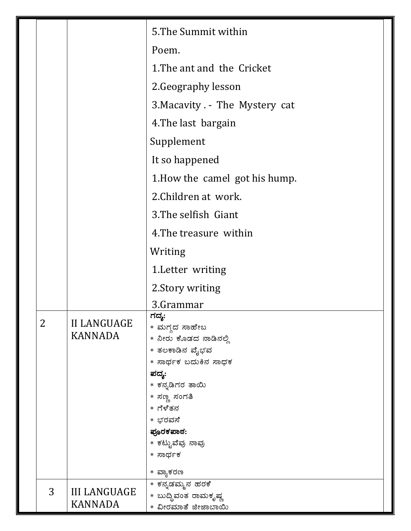|  |                |                                      | 5. The Summit within                                                                                                                                                                                     |
|--|----------------|--------------------------------------|----------------------------------------------------------------------------------------------------------------------------------------------------------------------------------------------------------|
|  |                |                                      | Poem.                                                                                                                                                                                                    |
|  |                |                                      | 1. The ant and the Cricket                                                                                                                                                                               |
|  |                |                                      | 2. Geography lesson                                                                                                                                                                                      |
|  |                |                                      | 3. Macavity . - The Mystery cat                                                                                                                                                                          |
|  |                |                                      | 4. The last bargain                                                                                                                                                                                      |
|  |                |                                      | Supplement                                                                                                                                                                                               |
|  |                |                                      | It so happened                                                                                                                                                                                           |
|  |                |                                      | 1. How the camel got his hump.                                                                                                                                                                           |
|  |                |                                      | 2. Children at work.                                                                                                                                                                                     |
|  |                |                                      | 3. The selfish Giant                                                                                                                                                                                     |
|  |                |                                      | 4. The treasure within                                                                                                                                                                                   |
|  |                |                                      | Writing                                                                                                                                                                                                  |
|  |                |                                      | 1. Letter writing                                                                                                                                                                                        |
|  |                |                                      | 2. Story writing                                                                                                                                                                                         |
|  |                |                                      | 3.Grammar                                                                                                                                                                                                |
|  | $\overline{2}$ | <b>II LANGUAGE</b><br><b>KANNADA</b> | ಗದ್ಯ:<br>* ಮಗ್ಗದ ಸಾಹೇಬ<br>* ನೀರು ಕೊಡದ ನಾಡಿನಲ್ಲಿ<br>* ತಲಕಾಡಿನ ವೈಭವ<br>* ಸಾರ್ಥಕ ಬದುಕಿನ ಸಾಧಕ<br>ಪದ್ಯ:<br>* ಕನ್ನಡಿಗರ ತಾಯಿ<br>* ಸಣ್ಣ ಸಂಗತಿ<br>* ಗೆಳೆತನ<br>* ಭರವಸೆ<br>ಪೂರಕಪಾಠ:<br>* ಕಟ್ಟುವೆವು ನಾವು<br>* ಸಾರ್ಥಕ |
|  | 3              | <b>III LANGUAGE</b>                  | * ವ್ಯಾಕರಣ<br>* ಕನ್ನಡಮ್ಮನ ಹರಕೆ<br>* ಬುದ್ದಿವಂತ ರಾಮಕೃಷ್ಣ                                                                                                                                                    |
|  |                | <b>KANNADA</b>                       | * ವೀರಮಾತೆ ಜೀಜಾಬಾಯಿ                                                                                                                                                                                       |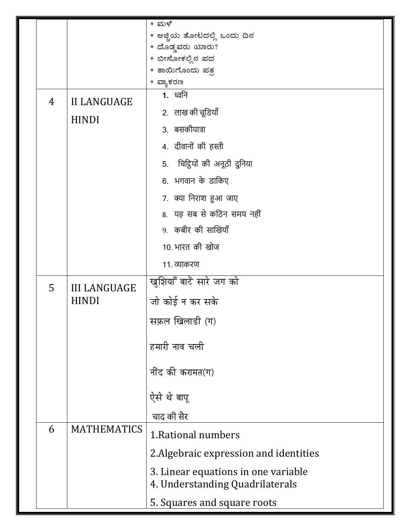|  |   |                                     | * ಮಳೆ                                                                  |
|--|---|-------------------------------------|------------------------------------------------------------------------|
|  |   |                                     | * ಅಜ್ಜಿಯ ತೋಟದಲ್ಲಿ ಒಂದು ದಿನ                                             |
|  |   |                                     | * ದೊಡ್ಡವರು ಯಾರು?                                                       |
|  |   |                                     | * ಬೀಸೋಕಲ್ಲಿನ ಪದ                                                        |
|  |   |                                     | * ತಾಯಿಗೊಂದು ಪತ್ರ                                                       |
|  |   |                                     | * ವ್ಯಾಕರಣ<br><b>1.</b> ध्वनि                                           |
|  | 4 | <b>II LANGUAGE</b><br><b>HINDI</b>  |                                                                        |
|  |   |                                     | 2. लाख की चूडियाँ                                                      |
|  |   |                                     | 3. बसकीयात्रा                                                          |
|  |   |                                     | 4. दीवानों की हस्ती                                                    |
|  |   |                                     | 5. चिट्ठियों की अनूठी दुनिया                                           |
|  |   |                                     | 6. भगवान के डाकिए                                                      |
|  |   |                                     | 7. क्या निराश हुआ जाए                                                  |
|  |   |                                     | 8. यह सब से कठिन समय नहीं                                              |
|  |   |                                     | 9. कबीर की साखियाँ                                                     |
|  |   |                                     | 10. भारत की खोज                                                        |
|  |   |                                     | 11. व्याकरण                                                            |
|  | 5 | <b>III LANGUAGE</b><br><b>HINDI</b> | खुशियाँ बाटें सारे जग को                                               |
|  |   |                                     | जो कोई न कर सके                                                        |
|  |   |                                     | सफ़ल खिलाडी (ग)                                                        |
|  |   |                                     |                                                                        |
|  |   |                                     | हमारी नाव चली                                                          |
|  |   |                                     | नींद की करामत(ग)                                                       |
|  |   |                                     |                                                                        |
|  |   |                                     | ऐसे थे बापू                                                            |
|  |   |                                     | चाद की सैर                                                             |
|  | 6 | <b>MATHEMATICS</b>                  | 1. Rational numbers                                                    |
|  |   |                                     | 2. Algebraic expression and identities                                 |
|  |   |                                     |                                                                        |
|  |   |                                     | 3. Linear equations in one variable<br>4. Understanding Quadrilaterals |
|  |   |                                     |                                                                        |
|  |   |                                     | 5. Squares and square roots                                            |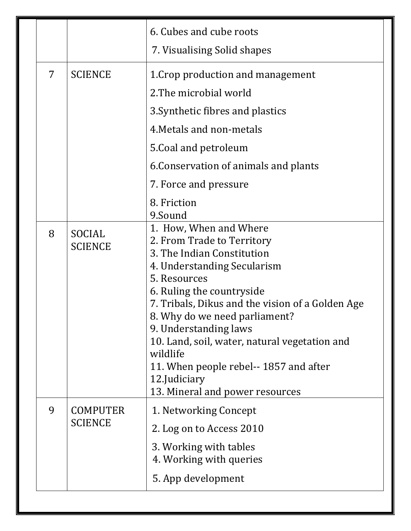|   |                                   | 6. Cubes and cube roots<br>7. Visualising Solid shapes                                                                                                                                                                                                                                                                                                                                                                                           |
|---|-----------------------------------|--------------------------------------------------------------------------------------------------------------------------------------------------------------------------------------------------------------------------------------------------------------------------------------------------------------------------------------------------------------------------------------------------------------------------------------------------|
| 7 | <b>SCIENCE</b>                    | 1. Crop production and management<br>2. The microbial world<br>3. Synthetic fibres and plastics<br>4. Metals and non-metals<br>5. Coal and petroleum<br>6. Conservation of animals and plants<br>7. Force and pressure<br>8. Friction                                                                                                                                                                                                            |
| 8 | SOCIAL<br><b>SCIENCE</b>          | 9.Sound<br>1. How, When and Where<br>2. From Trade to Territory<br>3. The Indian Constitution<br>4. Understanding Secularism<br>5. Resources<br>6. Ruling the countryside<br>7. Tribals, Dikus and the vision of a Golden Age<br>8. Why do we need parliament?<br>9. Understanding laws<br>10. Land, soil, water, natural vegetation and<br>wildlife<br>11. When people rebel--1857 and after<br>12.Judiciary<br>13. Mineral and power resources |
| 9 | <b>COMPUTER</b><br><b>SCIENCE</b> | 1. Networking Concept<br>2. Log on to Access 2010<br>3. Working with tables<br>4. Working with queries<br>5. App development                                                                                                                                                                                                                                                                                                                     |